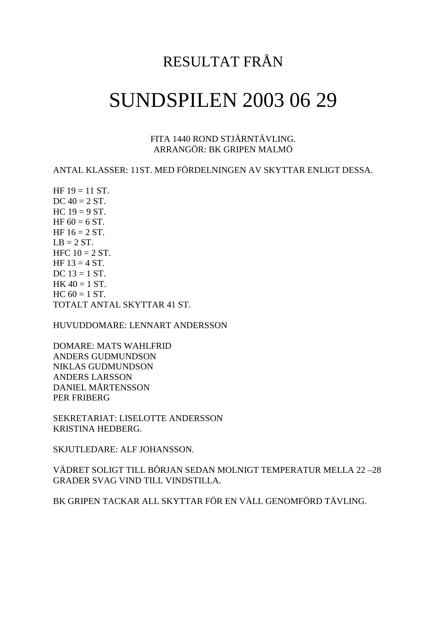## RESULTAT FRÅN

## SUNDSPILEN 2003 06 29

FITA 1440 ROND STJÄRNTÄVLING. ARRANGÖR: BK GRIPEN MALMÖ

ANTAL KLASSER: 11ST. MED FÖRDELNINGEN AV SKYTTAR ENLIGT DESSA.

HF  $19 = 11$  ST. DC  $40 = 2 ST$ .  $HC 19 = 9 ST.$ HF  $60 = 6$  ST. HF  $16 = 2 ST$ .  $LB = 2 ST.$ HFC  $10 = 2$  ST. HF  $13 = 4$  ST. DC  $13 = 1$  ST.  $HK 40 = 1 ST.$  $HC 60 = 1 ST.$ TOTALT ANTAL SKYTTAR 41 ST.

HUVUDDOMARE: LENNART ANDERSSON

DOMARE: MATS WAHLFRID ANDERS GUDMUNDSON NIKLAS GUDMUNDSON ANDERS LARSSON DANIEL MÅRTENSSON PER FRIBERG

SEKRETARIAT: LISELOTTE ANDERSSON KRISTINA HEDBERG.

SKJUTLEDARE: ALF JOHANSSON.

VÄDRET SOLIGT TILL BÖRJAN SEDAN MOLNIGT TEMPERATUR MELLA 22 –28 GRADER SVAG VIND TILL VINDSTILLA.

BK GRIPEN TACKAR ALL SKYTTAR FÖR EN VÄLL GENOMFÖRD TÄVLING.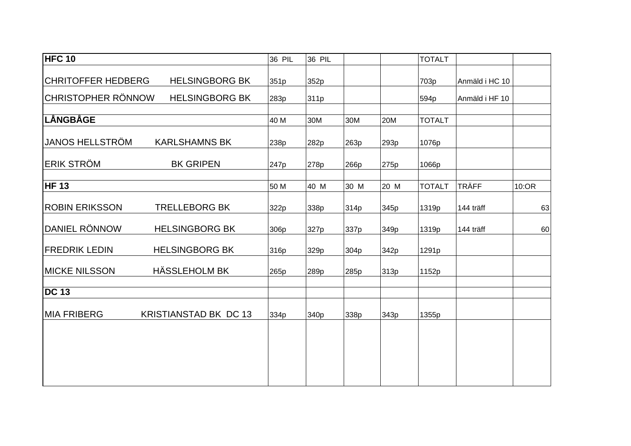| <b>HFC 10</b>             |                              | 36 PIL | 36 PIL |      |      | <b>TOTALT</b> |                |       |
|---------------------------|------------------------------|--------|--------|------|------|---------------|----------------|-------|
|                           |                              |        |        |      |      |               |                |       |
| <b>CHRITOFFER HEDBERG</b> | <b>HELSINGBORG BK</b>        | 351p   | 352p   |      |      | 703p          | Anmäld i HC 10 |       |
| <b>CHRISTOPHER RÖNNOW</b> | <b>HELSINGBORG BK</b>        | 283p   | 311p   |      |      | 594p          | Anmäld i HF 10 |       |
|                           |                              |        |        |      |      |               |                |       |
| LÅNGBÅGE                  |                              | 40 M   | 30M    | 30M  | 20M  | <b>TOTALT</b> |                |       |
| <b>JANOS HELLSTRÖM</b>    | <b>KARLSHAMNS BK</b>         | 238p   | 282p   | 263p | 293p | 1076p         |                |       |
| <b>ERIK STRÖM</b>         | <b>BK GRIPEN</b>             | 247p   | 278p   | 266p | 275p | 1066p         |                |       |
| <b>HF 13</b>              |                              | 50 M   | 40 M   | 30 M | 20 M | <b>TOTALT</b> | <b>TRÄFF</b>   | 10:OR |
| <b>ROBIN ERIKSSON</b>     | <b>TRELLEBORG BK</b>         | 322p   | 338p   | 314p | 345p | 1319p         | 144 träff      | 63    |
| DANIEL RÖNNOW             | <b>HELSINGBORG BK</b>        | 306p   | 327p   | 337p | 349p | 1319p         | 144 träff      | 60    |
| <b>FREDRIK LEDIN</b>      | <b>HELSINGBORG BK</b>        | 316p   | 329p   | 304p | 342p | 1291p         |                |       |
| <b>MICKE NILSSON</b>      | HÄSSLEHOLM BK                | 265p   | 289p   | 285p | 313p | 1152p         |                |       |
| <b>DC 13</b>              |                              |        |        |      |      |               |                |       |
| <b>MIA FRIBERG</b>        | <b>KRISTIANSTAD BK DC 13</b> | 334p   | 340p   | 338p | 343p | 1355p         |                |       |
|                           |                              |        |        |      |      |               |                |       |
|                           |                              |        |        |      |      |               |                |       |
|                           |                              |        |        |      |      |               |                |       |
|                           |                              |        |        |      |      |               |                |       |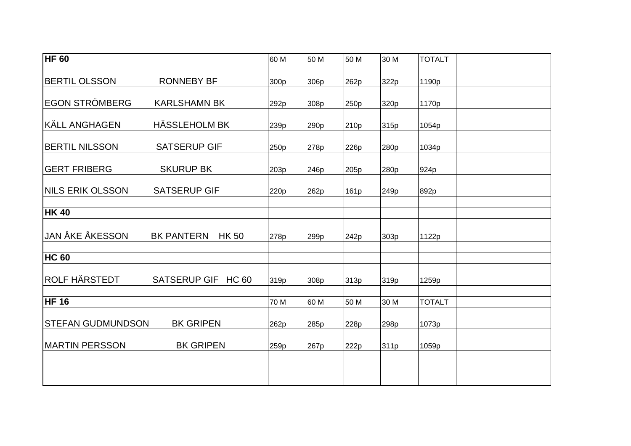| $\overline{\mathsf{HF}}$ 60 |                                   | 60 M | 50 M             | 50 M             | 30 M | <b>TOTALT</b> |  |
|-----------------------------|-----------------------------------|------|------------------|------------------|------|---------------|--|
| <b>BERTIL OLSSON</b>        | <b>RONNEBY BF</b>                 | 300p | 306p             | 262p             | 322p | 1190p         |  |
| <b>EGON STRÖMBERG</b>       | <b>KARLSHAMN BK</b>               | 292p | 308p             | 250p             | 320p | 1170p         |  |
| <b>KÄLL ANGHAGEN</b>        | HÄSSLEHOLM BK                     | 239p | 290 <sub>p</sub> | 210 <sub>p</sub> | 315p | 1054p         |  |
| <b>BERTIL NILSSON</b>       | <b>SATSERUP GIF</b>               | 250p | 278p             | 226p             | 280p | 1034p         |  |
| <b>GERT FRIBERG</b>         | <b>SKURUP BK</b>                  | 203p | 246p             | 205p             | 280p | 924p          |  |
| <b>NILS ERIK OLSSON</b>     | <b>SATSERUP GIF</b>               | 220p | 262p             | 161p             | 249p | 892p          |  |
| <b>HK 40</b>                |                                   |      |                  |                  |      |               |  |
| <b>JAN ÅKE ÅKESSON</b>      | <b>BK PANTERN</b><br><b>HK 50</b> | 278p | 299p             | 242p             | 303p | 1122p         |  |
| <b>HC 60</b>                |                                   |      |                  |                  |      |               |  |
| <b>ROLF HÄRSTEDT</b>        | SATSERUP GIF HC 60                | 319p | 308p             | 313p             | 319p | 1259p         |  |
| <b>HF 16</b>                |                                   | 70 M | 60 M             | 50 M             | 30 M | <b>TOTALT</b> |  |
| <b>STEFAN GUDMUNDSON</b>    | <b>BK GRIPEN</b>                  | 262p | 285p             | 228p             | 298p | 1073p         |  |
| <b>MARTIN PERSSON</b>       | <b>BK GRIPEN</b>                  | 259p | 267p             | 222p             | 311p | 1059p         |  |
|                             |                                   |      |                  |                  |      |               |  |
|                             |                                   |      |                  |                  |      |               |  |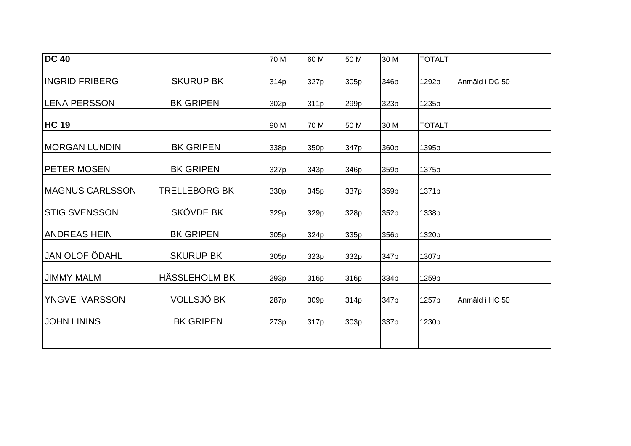| <b>DC 40</b>           |                      | 70 M | 60 M | 50 M | 30 M | <b>TOTALT</b> |                |
|------------------------|----------------------|------|------|------|------|---------------|----------------|
| <b>INGRID FRIBERG</b>  | <b>SKURUP BK</b>     | 314p | 327p | 305p | 346p | 1292p         | Anmäld i DC 50 |
| <b>LENA PERSSON</b>    | <b>BK GRIPEN</b>     | 302p | 311p | 299p | 323p | 1235p         |                |
| <b>HC 19</b>           |                      | 90 M | 70 M | 50 M | 30 M | <b>TOTALT</b> |                |
| <b>IMORGAN LUNDIN</b>  | <b>BK GRIPEN</b>     | 338p | 350p | 347p | 360p | 1395p         |                |
| <b>PETER MOSEN</b>     | <b>BK GRIPEN</b>     | 327p | 343p | 346p | 359p | 1375p         |                |
| <b>MAGNUS CARLSSON</b> | <b>TRELLEBORG BK</b> | 330p | 345p | 337p | 359p | 1371p         |                |
| <b>STIG SVENSSON</b>   | <b>SKÖVDE BK</b>     | 329p | 329p | 328p | 352p | 1338p         |                |
| <b>ANDREAS HEIN</b>    | <b>BK GRIPEN</b>     | 305p | 324p | 335p | 356p | 1320p         |                |
| <b>JAN OLOF ÖDAHL</b>  | <b>SKURUP BK</b>     | 305p | 323p | 332p | 347p | 1307p         |                |
| <b>JIMMY MALM</b>      | HÄSSLEHOLM BK        | 293p | 316p | 316p | 334p | 1259p         |                |
| YNGVE IVARSSON         | VOLLSJÖ BK           | 287p | 309p | 314p | 347p | 1257p         | Anmäld i HC 50 |
| <b>JOHN LININS</b>     | <b>BK GRIPEN</b>     | 273p | 317p | 303p | 337p | 1230p         |                |
|                        |                      |      |      |      |      |               |                |